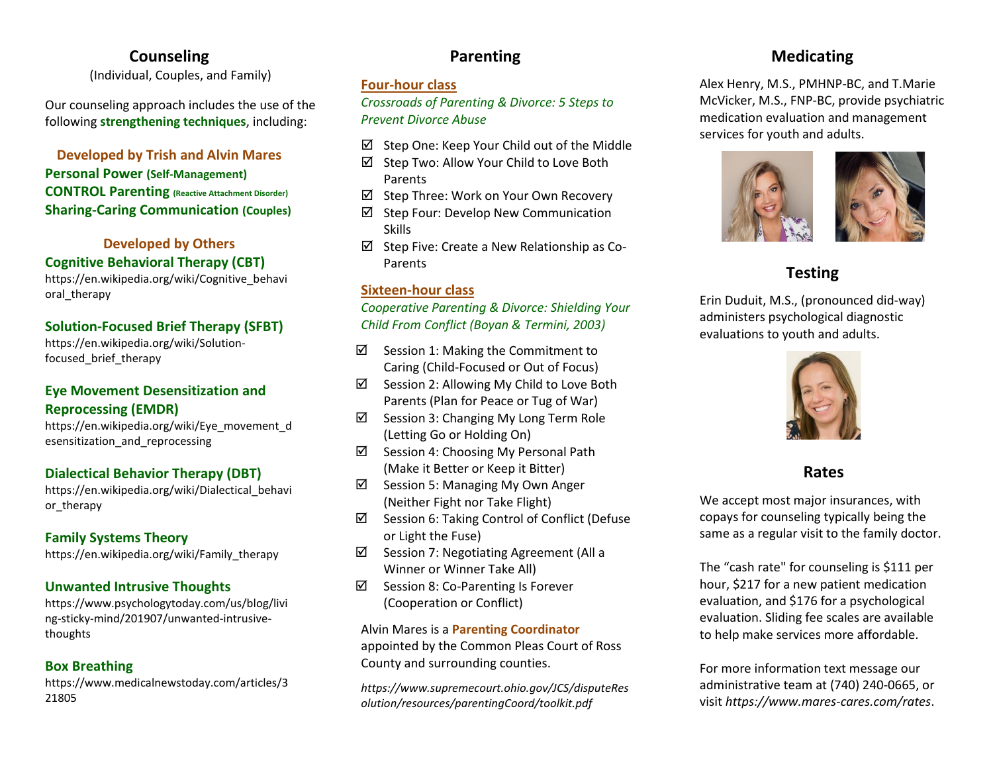# **Counseling**

(Individual, Couples, and Family)

Our counseling approach includes the use of the following **strengthening techniques**, including:

## **Developed by Trish and Alvin Mares Personal Power (Self-Management) CONTROL Parenting (Reactive Attachment Disorder) Sharing-Caring Communication (Couples)**

### **Developed by Others Cognitive Behavioral Therapy (CBT)**

https://en.wikipedia.org/wiki/Cognitive\_behavi oral\_therapy

## **Solution-Focused Brief Therapy (SFBT)**

https://en.wikipedia.org/wiki/Solutionfocused\_brief\_therapy

## **Eye Movement Desensitization and Reprocessing (EMDR)**

https://en.wikipedia.org/wiki/Eye\_movement\_d esensitization\_and\_reprocessing

## **Dialectical Behavior Therapy (DBT)**

https://en.wikipedia.org/wiki/Dialectical\_behavi or\_therapy

## **Family Systems Theory**

https://en.wikipedia.org/wiki/Family\_therapy

## **Unwanted Intrusive Thoughts**

https://www.psychologytoday.com/us/blog/livi ng-sticky-mind/201907/unwanted-intrusivethoughts

## **Box Breathing**

https://www.medicalnewstoday.com/articles/3 21805

# **Parenting**

### **Four-hour class**

*Crossroads of Parenting & Divorce: 5 Steps to Prevent Divorce Abuse*

- $\boxtimes$  Step One: Keep Your Child out of the Middle
- Step Two: Allow Your Child to Love Both Parents
- Step Three: Work on Your Own Recovery
- $\boxtimes$  Step Four: Develop New Communication Skills
- $\boxtimes$  Step Five: Create a New Relationship as Co-Parents

## **Sixteen-hour class**

*Cooperative Parenting & Divorce: Shielding Your Child From Conflict (Boyan & Termini, 2003)*

- $\boxtimes$  Session 1: Making the Commitment to Caring (Child-Focused or Out of Focus)
- $\boxtimes$  Session 2: Allowing My Child to Love Both Parents (Plan for Peace or Tug of War)
- $\boxtimes$  Session 3: Changing My Long Term Role (Letting Go or Holding On)
- $\boxtimes$  Session 4: Choosing My Personal Path (Make it Better or Keep it Bitter)
- $\boxtimes$  Session 5: Managing My Own Anger (Neither Fight nor Take Flight)
- $\boxtimes$  Session 6: Taking Control of Conflict (Defuse or Light the Fuse)
- $\boxtimes$  Session 7: Negotiating Agreement (All a Winner or Winner Take All)
- $\boxtimes$  Session 8: Co-Parenting Is Forever (Cooperation or Conflict)

Alvin Mares is a **Parenting Coordinator** appointed by the Common Pleas Court of Ross County and surrounding counties.

*https://www.supremecourt.ohio.gov/JCS/disputeRes olution/resources/parentingCoord/toolkit.pdf*

# **Medicating**

Alex Henry, M.S., PMHNP-BC, and T.Marie McVicker, M.S., FNP-BC, provide psychiatric medication evaluation and management services for youth and adults.



# **Testing**

Erin Duduit, M.S., (pronounced did-way) administers psychological diagnostic evaluations to youth and adults.



## **Rates**

We accept most major insurances, with copays for counseling typically being the same as a regular visit to the family doctor.

The "cash rate" for counseling is \$111 per hour, \$217 for a new patient medication evaluation, and \$176 for a psychological evaluation. Sliding fee scales are available to help make services more affordable.

For more information text message our administrative team at (740) 240-0665, or visit *https://www.mares-cares.com/rates*.